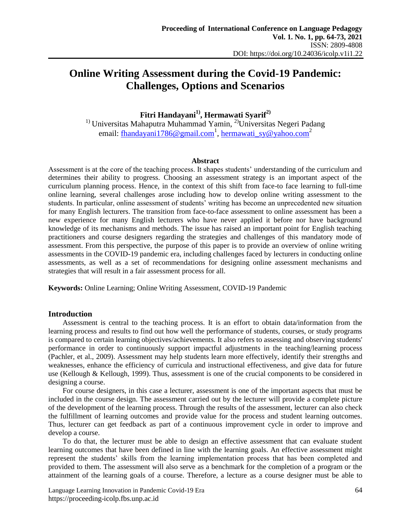# **Online Writing Assessment during the Covid-19 Pandemic: Challenges, Options and Scenarios**

**Fitri Handayani1) , Hermawati Syarif2)**

<sup>1)</sup> Universitas Mahaputra Muhammad Yamin, <sup>2)</sup>Universitas Negeri Padang email: <u>fhandayani1786@gmail.com</u><sup>1</sup>, [hermawati\\_sy@yahoo.com](mailto:author@abc.ac.id2)<sup>2</sup>

#### **Abstract**

Assessment is at the core of the teaching process. It shapes students' understanding of the curriculum and determines their ability to progress. Choosing an assessment strategy is an important aspect of the curriculum planning process. Hence, in the context of this shift from face-to face learning to full-time online learning, several challenges arose including how to develop online writing assessment to the students. In particular, online assessment of students' writing has become an unprecedented new situation for many English lecturers. The transition from face-to-face assessment to online assessment has been a new experience for many English lecturers who have never applied it before nor have background knowledge of its mechanisms and methods. The issue has raised an important point for English teaching practitioners and course designers regarding the strategies and challenges of this mandatory mode of assessment. From this perspective, the purpose of this paper is to provide an overview of online writing assessments in the COVID-19 pandemic era, including challenges faced by lecturers in conducting online assessments, as well as a set of recommendations for designing online assessment mechanisms and strategies that will result in a fair assessment process for all.

**Keywords:** Online Learning; Online Writing Assessment, COVID-19 Pandemic

#### **Introduction**

Assessment is central to the teaching process. It is an effort to obtain data/information from the learning process and results to find out how well the performance of students, courses, or study programs is compared to certain learning objectives/achievements. It also refers to assessing and observing students' performance in order to continuously support impactful adjustments in the teaching/learning process (Pachler, et al., 2009). Assessment may help students learn more effectively, identify their strengths and weaknesses, enhance the efficiency of curricula and instructional effectiveness, and give data for future use (Kellough & Kellough, 1999). Thus, assessment is one of the crucial components to be considered in designing a course.

For course designers, in this case a lecturer, assessment is one of the important aspects that must be included in the course design. The assessment carried out by the lecturer will provide a complete picture of the development of the learning process. Through the results of the assessment, lecturer can also check the fulfillment of learning outcomes and provide value for the process and student learning outcomes. Thus, lecturer can get feedback as part of a continuous improvement cycle in order to improve and develop a course.

To do that, the lecturer must be able to design an effective assessment that can evaluate student learning outcomes that have been defined in line with the learning goals. An effective assessment might represent the students' skills from the learning implementation process that has been completed and provided to them. The assessment will also serve as a benchmark for the completion of a program or the attainment of the learning goals of a course. Therefore, a lecture as a course designer must be able to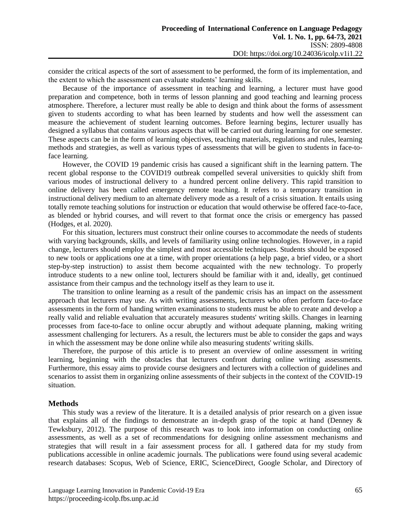consider the critical aspects of the sort of assessment to be performed, the form of its implementation, and the extent to which the assessment can evaluate students' learning skills.

Because of the importance of assessment in teaching and learning, a lecturer must have good preparation and competence, both in terms of lesson planning and good teaching and learning process atmosphere. Therefore, a lecturer must really be able to design and think about the forms of assessment given to students according to what has been learned by students and how well the assessment can measure the achievement of student learning outcomes. Before learning begins, lecturer usually has designed a syllabus that contains various aspects that will be carried out during learning for one semester. These aspects can be in the form of learning objectives, teaching materials, regulations and rules, learning methods and strategies, as well as various types of assessments that will be given to students in face-toface learning.

However, the COVID 19 pandemic crisis has caused a significant shift in the learning pattern. The recent global response to the COVID19 outbreak compelled several universities to quickly shift from various modes of instructional delivery to a hundred percent online delivery. This rapid transition to online delivery has been called emergency remote teaching. It refers to a temporary transition in instructional delivery medium to an alternate delivery mode as a result of a crisis situation. It entails using totally remote teaching solutions for instruction or education that would otherwise be offered face-to-face, as blended or hybrid courses, and will revert to that format once the crisis or emergency has passed (Hodges, et al. 2020).

For this situation, lecturers must construct their online courses to accommodate the needs of students with varying backgrounds, skills, and levels of familiarity using online technologies. However, in a rapid change, lecturers should employ the simplest and most accessible techniques. Students should be exposed to new tools or applications one at a time, with proper orientations (a help page, a brief video, or a short step-by-step instruction) to assist them become acquainted with the new technology. To properly introduce students to a new online tool, lecturers should be familiar with it and, ideally, get continued assistance from their campus and the technology itself as they learn to use it.

The transition to online learning as a result of the pandemic crisis has an impact on the assessment approach that lecturers may use. As with writing assessments, lecturers who often perform face-to-face assessments in the form of handing written examinations to students must be able to create and develop a really valid and reliable evaluation that accurately measures students' writing skills. Changes in learning processes from face-to-face to online occur abruptly and without adequate planning, making writing assessment challenging for lecturers. As a result, the lecturers must be able to consider the gaps and ways in which the assessment may be done online while also measuring students' writing skills.

Therefore, the purpose of this article is to present an overview of online assessment in writing learning, beginning with the obstacles that lecturers confront during online writing assessments. Furthermore, this essay aims to provide course designers and lecturers with a collection of guidelines and scenarios to assist them in organizing online assessments of their subjects in the context of the COVID-19 situation.

# **Methods**

This study was a review of the literature. It is a detailed analysis of prior research on a given issue that explains all of the findings to demonstrate an in-depth grasp of the topic at hand (Denney & Tewksbury, 2012). The purpose of this research was to look into information on conducting online assessments, as well as a set of recommendations for designing online assessment mechanisms and strategies that will result in a fair assessment process for all. I gathered data for my study from publications accessible in online academic journals. The publications were found using several academic research databases: Scopus, Web of Science, ERIC, ScienceDirect, Google Scholar, and Directory of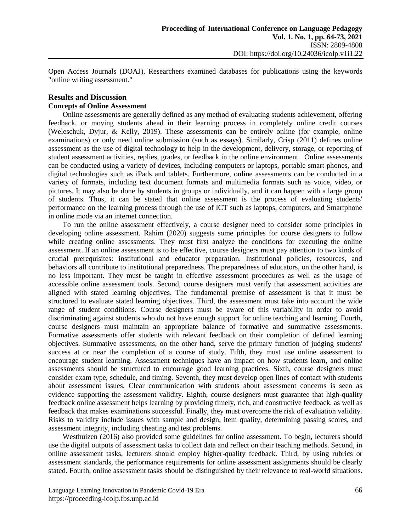Open Access Journals (DOAJ). Researchers examined databases for publications using the keywords "online writing assessment."

### **Results and Discussion Concepts of Online Assessment**

Online assessments are generally defined as any method of evaluating students achievement, offering feedback, or moving students ahead in their learning process in completely online credit courses (Weleschuk, Dyjur, & Kelly, 2019). These assessments can be entirely online (for example, online examinations) or only need online submission (such as essays). Similarly, Crisp (2011) defines online assessment as the use of digital technology to help in the development, delivery, storage, or reporting of student assessment activities, replies, grades, or feedback in the online environment. Online assessments can be conducted using a variety of devices, including computers or laptops, portable smart phones, and digital technologies such as iPads and tablets. Furthermore, online assessments can be conducted in a variety of formats, including text document formats and multimedia formats such as voice, video, or pictures. It may also be done by students in groups or individually, and it can happen with a large group of students. Thus, it can be stated that online assessment is the process of evaluating students' performance on the learning process through the use of ICT such as laptops, computers, and Smartphone in online mode via an internet connection.

To run the online assessment effectively, a course designer need to consider some principles in developing online assessment. Rahim (2020) suggests some principles for course designers to follow while creating online assessments. They must first analyze the conditions for executing the online assessment. If an online assessment is to be effective, course designers must pay attention to two kinds of crucial prerequisites: institutional and educator preparation. Institutional policies, resources, and behaviors all contribute to institutional preparedness. The preparedness of educators, on the other hand, is no less important. They must be taught in effective assessment procedures as well as the usage of accessible online assessment tools. Second, course designers must verify that assessment activities are aligned with stated learning objectives. The fundamental premise of assessment is that it must be structured to evaluate stated learning objectives. Third, the assessment must take into account the wide range of student conditions. Course designers must be aware of this variability in order to avoid discriminating against students who do not have enough support for online teaching and learning. Fourth, course designers must maintain an appropriate balance of formative and summative assessments. Formative assessments offer students with relevant feedback on their completion of defined learning objectives. Summative assessments, on the other hand, serve the primary function of judging students' success at or near the completion of a course of study. Fifth, they must use online assessment to encourage student learning. Assessment techniques have an impact on how students learn, and online assessments should be structured to encourage good learning practices. Sixth, course designers must consider exam type, schedule, and timing. Seventh, they must develop open lines of contact with students about assessment issues. Clear communication with students about assessment concerns is seen as evidence supporting the assessment validity. Eighth, course designers must guarantee that high-quality feedback online assessment helps learning by providing timely, rich, and constructive feedback, as well as feedback that makes examinations successful. Finally, they must overcome the risk of evaluation validity. Risks to validity include issues with sample and design, item quality, determining passing scores, and assessment integrity, including cheating and test problems.

Westhuizen (2016) also provided some guidelines for online assessment. To begin, lecturers should use the digital outputs of assessment tasks to collect data and reflect on their teaching methods. Second, in online assessment tasks, lecturers should employ higher-quality feedback. Third, by using rubrics or assessment standards, the performance requirements for online assessment assignments should be clearly stated. Fourth, online assessment tasks should be distinguished by their relevance to real-world situations.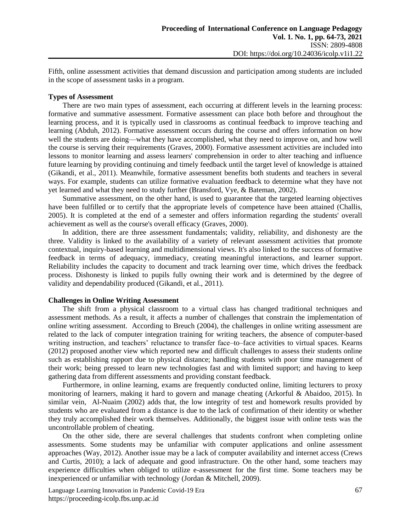Fifth, online assessment activities that demand discussion and participation among students are included in the scope of assessment tasks in a program.

#### **Types of Assessment**

There are two main types of assessment, each occurring at different levels in the learning process: formative and summative assessment. Formative assessment can place both before and throughout the learning process, and it is typically used in classrooms as continual feedback to improve teaching and learning (Abduh, 2012). Formative assessment occurs during the course and offers information on how well the students are doing—what they have accomplished, what they need to improve on, and how well the course is serving their requirements (Graves, 2000). Formative assessment activities are included into lessons to monitor learning and assess learners' comprehension in order to alter teaching and influence future learning by providing continuing and timely feedback until the target level of knowledge is attained (Gikandi, et al., 2011). Meanwhile, formative assessment benefits both students and teachers in several ways. For example, students can utilize formative evaluation feedback to determine what they have not yet learned and what they need to study further (Bransford, Vye, & Bateman, 2002).

Summative assessment, on the other hand, is used to guarantee that the targeted learning objectives have been fulfilled or to certify that the appropriate levels of competence have been attained (Challis, 2005). It is completed at the end of a semester and offers information regarding the students' overall achievement as well as the course's overall efficacy (Graves, 2000).

In addition, there are three assessment fundamentals; validity, reliability, and dishonesty are the three. Validity is linked to the availability of a variety of relevant assessment activities that promote contextual, inquiry-based learning and multidimensional views. It's also linked to the success of formative feedback in terms of adequacy, immediacy, creating meaningful interactions, and learner support. Reliability includes the capacity to document and track learning over time, which drives the feedback process. Dishonesty is linked to pupils fully owning their work and is determined by the degree of validity and dependability produced (Gikandi, et al., 2011).

#### **Challenges in Online Writing Assessment**

The shift from a physical classroom to a virtual class has changed traditional techniques and assessment methods. As a result, it affects a number of challenges that constrain the implementation of online writing assessment. According to Breuch (2004), the challenges in online writing assessment are related to the lack of computer integration training for writing teachers, the absence of computer-based writing instruction, and teachers' reluctance to transfer face–to–face activities to virtual spaces. Kearns (2012) proposed another view which reported new and difficult challenges to assess their students online such as establishing rapport due to physical distance; handling students with poor time management of their work; being pressed to learn new technologies fast and with limited support; and having to keep gathering data from different assessments and providing constant feedback.

Furthermore, in online learning, exams are frequently conducted online, limiting lecturers to proxy monitoring of learners, making it hard to govern and manage cheating (Arkorful & Abaidoo, 2015). In similar vein, Al-Nuaim (2002) adds that, the low integrity of test and homework results provided by students who are evaluated from a distance is due to the lack of confirmation of their identity or whether they truly accomplished their work themselves. Additionally, the biggest issue with online tests was the uncontrollable problem of cheating.

On the other side, there are several challenges that students confront when completing online assessments. Some students may be unfamiliar with computer applications and online assessment approaches (Way, 2012). Another issue may be a lack of computer availability and internet access (Crews and Curtis, 2010); a lack of adequate and good infrastructure. On the other hand, some teachers may experience difficulties when obliged to utilize e-assessment for the first time. Some teachers may be inexperienced or unfamiliar with technology (Jordan & Mitchell, 2009).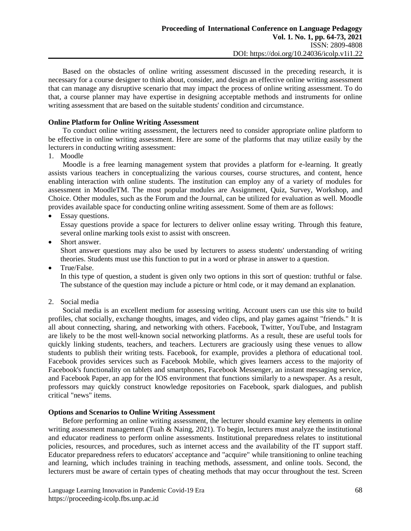Based on the obstacles of online writing assessment discussed in the preceding research, it is necessary for a course designer to think about, consider, and design an effective online writing assessment that can manage any disruptive scenario that may impact the process of online writing assessment. To do that, a course planner may have expertise in designing acceptable methods and instruments for online writing assessment that are based on the suitable students' condition and circumstance.

# **Online Platform for Online Writing Assessment**

To conduct online writing assessment, the lecturers need to consider appropriate online platform to be effective in online writing assessment. Here are some of the platforms that may utilize easily by the lecturers in conducting writing assessment:

1. Moodle

Moodle is a free learning management system that provides a platform for e-learning. It greatly assists various teachers in conceptualizing the various courses, course structures, and content, hence enabling interaction with online students. The institution can employ any of a variety of modules for assessment in MoodleTM. The most popular modules are Assignment, Quiz, Survey, Workshop, and Choice. Other modules, such as the Forum and the Journal, can be utilized for evaluation as well. Moodle provides available space for conducting online writing assessment. Some of them are as follows:

• Essay questions.

Essay questions provide a space for lecturers to deliver online essay writing. Through this feature, several online marking tools exist to assist with onscreen.

Short answer.

Short answer questions may also be used by lecturers to assess students' understanding of writing theories. Students must use this function to put in a word or phrase in answer to a question.

True/False.

In this type of question, a student is given only two options in this sort of question: truthful or false. The substance of the question may include a picture or html code, or it may demand an explanation.

2. Social media

Social media is an excellent medium for assessing writing. Account users can use this site to build profiles, chat socially, exchange thoughts, images, and video clips, and play games against "friends." It is all about connecting, sharing, and networking with others. Facebook, Twitter, YouTube, and Instagram are likely to be the most well-known social networking platforms. As a result, these are useful tools for quickly linking students, teachers, and teachers. Lecturers are graciously using these venues to allow students to publish their writing tests. Facebook, for example, provides a plethora of educational tool. Facebook provides services such as Facebook Mobile, which gives learners access to the majority of Facebook's functionality on tablets and smartphones, Facebook Messenger, an instant messaging service, and Facebook Paper, an app for the IOS environment that functions similarly to a newspaper. As a result, professors may quickly construct knowledge repositories on Facebook, spark dialogues, and publish critical "news" items.

# **Options and Scenarios to Online Writing Assessment**

Before performing an online writing assessment, the lecturer should examine key elements in online writing assessment management (Tuah & Naing, 2021). To begin, lecturers must analyze the institutional and educator readiness to perform online assessments. Institutional preparedness relates to institutional policies, resources, and procedures, such as internet access and the availability of the IT support staff. Educator preparedness refers to educators' acceptance and "acquire" while transitioning to online teaching and learning, which includes training in teaching methods, assessment, and online tools. Second, the lecturers must be aware of certain types of cheating methods that may occur throughout the test. Screen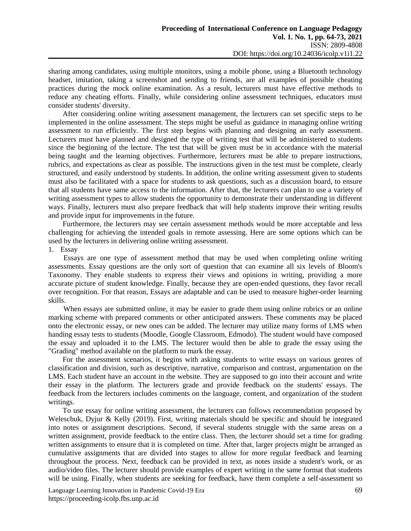sharing among candidates, using multiple monitors, using a mobile phone, using a Bluetooth technology headset, imitation, taking a screenshot and sending to friends, are all examples of possible cheating practices during the mock online examination. As a result, lecturers must have effective methods to reduce any cheating efforts. Finally, while considering online assessment techniques, educators must consider students' diversity.

After considering online writing assessment management, the lecturers can set specific steps to be implemented in the online assessment. The steps might be useful as guidance in managing online writing assessment to run efficiently. The first step begins with planning and designing an early assessment. Lecturers must have planned and designed the type of writing test that will be administered to students since the beginning of the lecture. The test that will be given must be in accordance with the material being taught and the learning objectives. Furthermore, lecturers must be able to prepare instructions, rubrics, and expectations as clear as possible. The instructions given in the test must be complete, clearly structured, and easily understood by students. In addition, the online writing assessment given to students must also be facilitated with a space for students to ask questions, such as a discussion board, to ensure that all students have same access to the information. After that, the lecturers can plan to use a variety of writing assessment types to allow students the opportunity to demonstrate their understanding in different ways. Finally, lecturers must also prepare feedback that will help students improve their writing results and provide input for improvements in the future.

Furthermore, the lecturers may see certain assessment methods would be more acceptable and less challenging for achieving the intended goals in remote assessing. Here are some options which can be used by the lecturers in delivering online writing assessment.

1. Essay

Essays are one type of assessment method that may be used when completing online writing assessments. Essay questions are the only sort of question that can examine all six levels of Bloom's Taxonomy. They enable students to express their views and opinions in writing, providing a more accurate picture of student knowledge. Finally, because they are open-ended questions, they favor recall over recognition. For that reason, Essays are adaptable and can be used to measure higher-order learning skills.

When essays are submitted online, it may be easier to grade them using online rubrics or an online marking scheme with prepared comments or other anticipated answers. These comments may be placed onto the electronic essay, or new ones can be added. The lecturer may utilize many forms of LMS when handing essay tests to students (Moodle, Google Classroom, Edmodo). The student would have composed the essay and uploaded it to the LMS. The lecturer would then be able to grade the essay using the "Grading" method available on the platform to mark the essay.

For the assessment scenarios, it begins with asking students to write essays on various genres of classification and division, such as descriptive, narrative, comparison and contrast, argumentation on the LMS. Each student have an account in the website. They are supposed to go into their account and write their essay in the platform. The lecturers grade and provide feedback on the students' essays. The feedback from the lecturers includes comments on the language, content, and organization of the student writings.

To use essay for online writing assessment, the lecturers can follows recommendation proposed by Weleschuk, Dyjur & Kelly (2019). First, writing materials should be specific and should be integrated into notes or assignment descriptions. Second, if several students struggle with the same areas on a written assignment, provide feedback to the entire class. Then, the lecturer should set a time for grading written assignments to ensure that it is completed on time. After that, larger projects might be arranged as cumulative assignments that are divided into stages to allow for more regular feedback and learning throughout the process. Next, feedback can be provided in text, as notes inside a student's work, or as audio/video files. The lecturer should provide examples of expert writing in the same format that students will be using. Finally, when students are seeking for feedback, have them complete a self-assessment so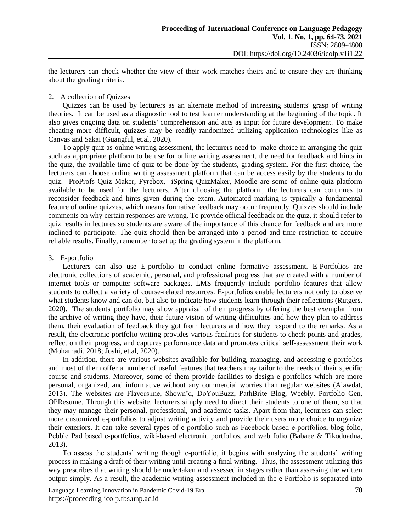the lecturers can check whether the view of their work matches theirs and to ensure they are thinking about the grading criteria.

#### 2. A collection of Quizzes

Quizzes can be used by lecturers as an alternate method of increasing students' grasp of writing theories. It can be used as a diagnostic tool to test learner understanding at the beginning of the topic. It also gives ongoing data on students' comprehension and acts as input for future development. To make cheating more difficult, quizzes may be readily randomized utilizing application technologies like as Canvas and Sakai (Guangful, et.al, 2020).

To apply quiz as online writing assessment, the lecturers need to make choice in arranging the quiz such as appropriate platform to be use for online writing assessment, the need for feedback and hints in the quiz, the available time of quiz to be done by the students, grading system. For the first choice, the lecturers can choose online writing assessment platform that can be access easily by the students to do quiz. ProProfs Quiz Maker, Fyrebox, iSpring QuizMaker, Moodle are some of online quiz platform available to be used for the lecturers. After choosing the platform, the lecturers can continues to reconsider feedback and hints given during the exam. Automated marking is typically a fundamental feature of online quizzes, which means formative feedback may occur frequently. Quizzes should include comments on why certain responses are wrong. To provide official feedback on the quiz, it should refer to quiz results in lectures so students are aware of the importance of this chance for feedback and are more inclined to participate. The quiz should then be arranged into a period and time restriction to acquire reliable results. Finally, remember to set up the grading system in the platform.

# 3. E-portfolio

Lecturers can also use E-portfolio to conduct online formative assessment. E-Portfolios are electronic collections of academic, personal, and professional progress that are created with a number of internet tools or computer software packages. LMS frequently include portfolio features that allow students to collect a variety of course-related resources. E-portfolios enable lecturers not only to observe what students know and can do, but also to indicate how students learn through their reflections (Rutgers, 2020). The students' portfolio may show appraisal of their progress by offering the best exemplar from the archive of writing they have, their future vision of writing difficulties and how they plan to address them, their evaluation of feedback they got from lecturers and how they respond to the remarks. As a result, the electronic portfolio writing provides various facilities for students to check points and grades, reflect on their progress, and captures performance data and promotes critical self-assessment their work (Mohamadi, 2018; Joshi, et.al, 2020).

In addition, there are various websites available for building, managing, and accessing e-portfolios and most of them offer a number of useful features that teachers may tailor to the needs of their specific course and students. Moreover, some of them provide facilities to design e-portfolios which are more personal, organized, and informative without any commercial worries than regular websites (Alawdat, 2013). The websites are Flavors.me, Shown'd, DoYouBuzz, PathBrite Blog, Weebly, Portfolio Gen, OPResume. Through this website, lecturers simply need to direct their students to one of them, so that they may manage their personal, professional, and academic tasks. Apart from that, lecturers can select more customized e-portfolios to adjust writing activity and provide their users more choice to organize their exteriors. It can take several types of e-portfolio such as Facebook based e‐portfolios, blog folio, Pebble Pad based e‐portfolios, wiki-based electronic portfolios, and web folio (Babaee & Tikoduadua, 2013).

To assess the students' writing though e-portfolio, it begins with analyzing the students' writing process in making a draft of their writing until creating a final writing. Thus, the assessment utilizing this way prescribes that writing should be undertaken and assessed in stages rather than assessing the written output simply. As a result, the academic writing assessment included in the e-Portfolio is separated into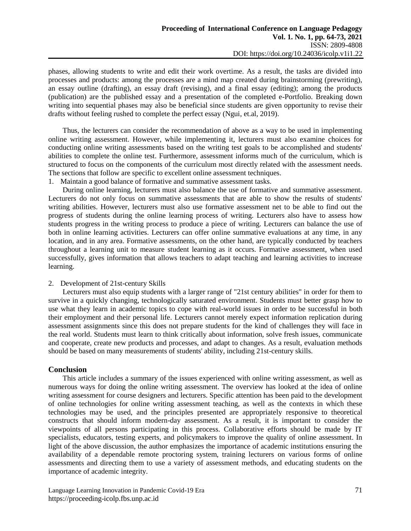phases, allowing students to write and edit their work overtime. As a result, the tasks are divided into processes and products: among the processes are a mind map created during brainstorming (prewriting), an essay outline (drafting), an essay draft (revising), and a final essay (editing); among the products (publication) are the published essay and a presentation of the completed e-Portfolio. Breaking down writing into sequential phases may also be beneficial since students are given opportunity to revise their drafts without feeling rushed to complete the perfect essay (Ngui, et.al, 2019).

Thus, the lecturers can consider the recommendation of above as a way to be used in implementing online writing assessment. However, while implementing it, lecturers must also examine choices for conducting online writing assessments based on the writing test goals to be accomplished and students' abilities to complete the online test. Furthermore, assessment informs much of the curriculum, which is structured to focus on the components of the curriculum most directly related with the assessment needs. The sections that follow are specific to excellent online assessment techniques.

1. Maintain a good balance of formative and summative assessment tasks.

During online learning, lecturers must also balance the use of formative and summative assessment. Lecturers do not only focus on summative assessments that are able to show the results of students' writing abilities. However, lecturers must also use formative assessment net to be able to find out the progress of students during the online learning process of writing. Lecturers also have to assess how students progress in the writing process to produce a piece of writing. Lecturers can balance the use of both in online learning activities. Lecturers can offer online summative evaluations at any time, in any location, and in any area. Formative assessments, on the other hand, are typically conducted by teachers throughout a learning unit to measure student learning as it occurs. Formative assessment, when used successfully, gives information that allows teachers to adapt teaching and learning activities to increase learning.

# 2. Development of 21st-century Skills

Lecturers must also equip students with a larger range of "21st century abilities" in order for them to survive in a quickly changing, technologically saturated environment. Students must better grasp how to use what they learn in academic topics to cope with real-world issues in order to be successful in both their employment and their personal life. Lecturers cannot merely expect information replication during assessment assignments since this does not prepare students for the kind of challenges they will face in the real world. Students must learn to think critically about information, solve fresh issues, communicate and cooperate, create new products and processes, and adapt to changes. As a result, evaluation methods should be based on many measurements of students' ability, including 21st-century skills.

# **Conclusion**

This article includes a summary of the issues experienced with online writing assessment, as well as numerous ways for doing the online writing assessment. The overview has looked at the idea of online writing assessment for course designers and lecturers. Specific attention has been paid to the development of online technologies for online writing assessment teaching, as well as the contexts in which these technologies may be used, and the principles presented are appropriately responsive to theoretical constructs that should inform modern-day assessment. As a result, it is important to consider the viewpoints of all persons participating in this process. Collaborative efforts should be made by IT specialists, educators, testing experts, and policymakers to improve the quality of online assessment. In light of the above discussion, the author emphasizes the importance of academic institutions ensuring the availability of a dependable remote proctoring system, training lecturers on various forms of online assessments and directing them to use a variety of assessment methods, and educating students on the importance of academic integrity.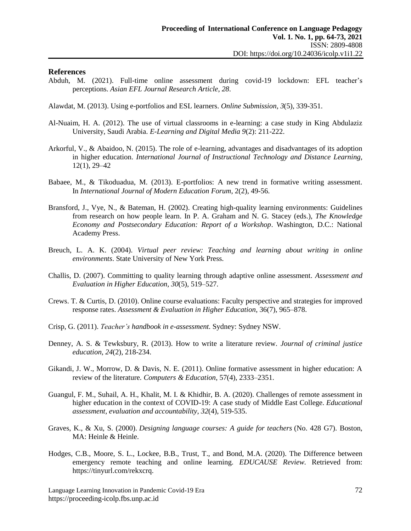#### **References**

- Abduh, M. (2021). Full-time online assessment during covid-19 lockdown: EFL teacher's perceptions. *Asian EFL Journal Research Article*, *28*.
- Alawdat, M. (2013). Using e-portfolios and ESL learners. *Online Submission*, *3*(5), 339-351.
- Al-Nuaim, H. A. (2012). The use of virtual classrooms in e-learning: a case study in King Abdulaziz University, Saudi Arabia. *E-Learning and Digital Media 9*(2): 211-222.
- Arkorful, V., & Abaidoo, N. (2015). The role of e-learning, advantages and disadvantages of its adoption in higher education. *International Journal of Instructional Technology and Distance Learning*, 12(1), 29–42
- Babaee, M., & Tikoduadua, M. (2013). E-portfolios: A new trend in formative writing assessment. In *International Journal of Modern Education Forum*, 2(2), 49-56.
- Bransford, J., Vye, N., & Bateman, H. (2002). Creating high-quality learning environments: Guidelines from research on how people learn. In P. A. Graham and N. G. Stacey (eds.), *The Knowledge Economy and Postsecondary Education: Report of a Workshop*. Washington, D.C.: National Academy Press.
- Breuch, L. A. K. (2004). *Virtual peer review: Teaching and learning about writing in online environments*. State University of New York Press.
- Challis, D. (2007). Committing to quality learning through adaptive online assessment. *Assessment and Evaluation in Higher Education, 30*(5), 519–527.
- Crews. T. & Curtis, D. (2010). Online course evaluations: Faculty perspective and strategies for improved response rates. *Assessment & Evaluation in Higher Education*, 36(7), 965–878.
- Crisp, G. (2011). *Teacher's handbook in e-assessment.* Sydney: Sydney NSW.
- Denney, A. S. & Tewksbury, R. (2013). How to write a literature review. *Journal of criminal justice education*, *24*(2), 218-234.
- Gikandi, J. W., Morrow, D. & Davis, N. E. (2011). Online formative assessment in higher education: A review of the literature*. Computers & Education*, 57(4), 2333–2351.
- Guangul, F. M., Suhail, A. H., Khalit, M. I. & Khidhir, B. A. (2020). Challenges of remote assessment in higher education in the context of COVID-19: A case study of Middle East College. *Educational assessment, evaluation and accountability*, *32*(4), 519-535.
- Graves, K., & Xu, S. (2000). *Designing language courses: A guide for teachers* (No. 428 G7). Boston, MA: Heinle & Heinle.
- Hodges, C.B., Moore, S. L., Lockee, B.B., Trust, T., and Bond, M.A. (2020). The Difference between emergency remote teaching and online learning. *EDUCAUSE Review.* Retrieved from: [https://tinyurl.com/rekxcrq.](https://tinyurl.com/rekxcrq)